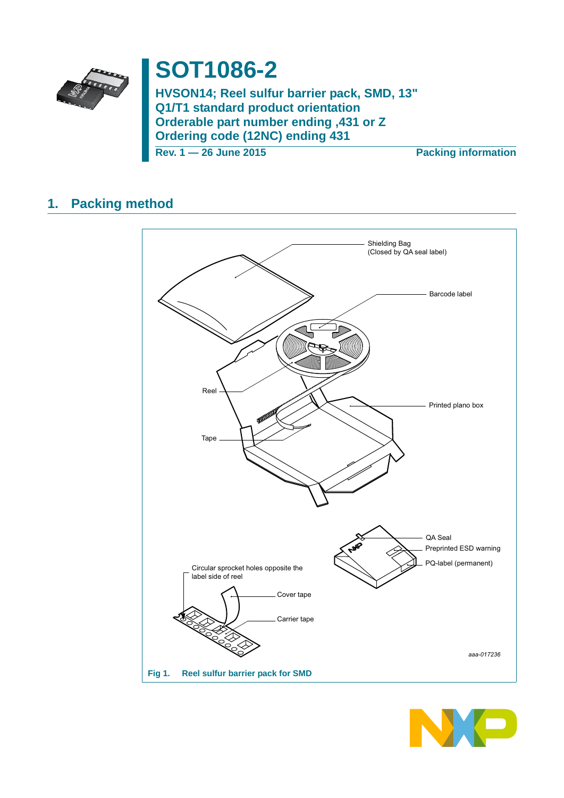

# **SOT1086-2**

HVSON14; Reel sulfur barrier pack, SMD, 13" Q1/T1 standard product orientation Orderable part number ending ,431 or Z **Ordering code (12NC) ending 431** 

Rev. 1 - 26 June 2015

**Packing information** 

#### **Packing method**  $\mathbf{1}$ .



<span id="page-0-0"></span>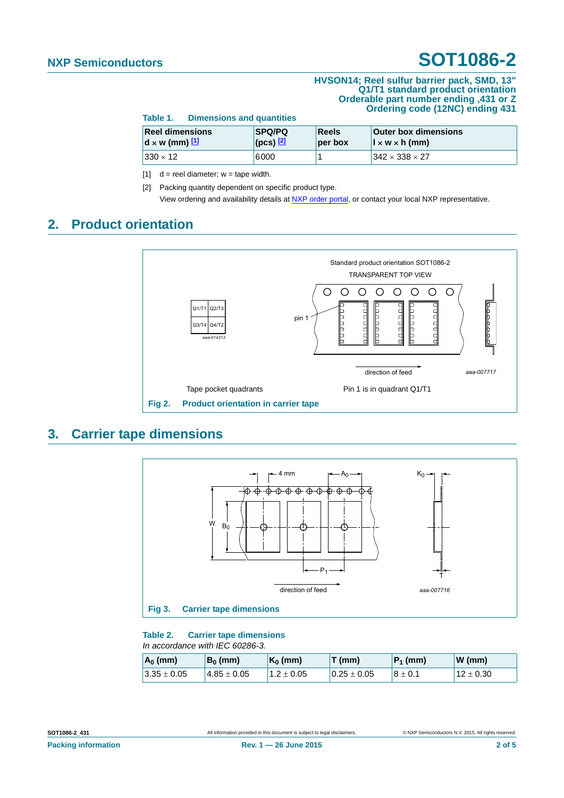#### **HVSON14; Reel sulfur barrier pack, SMD, 13" Q1/T1 standard product orientation Orderable part number ending ,431 or Z Ordering code (12NC) ending 431**

**Table 1. Dimensions and quantities**

| <b>Reel dimensions</b> | <b>SPQ/PQ</b>   | <b>Reels</b> | <b>Outer box dimensions</b>           |
|------------------------|-----------------|--------------|---------------------------------------|
| $d \times w$ (mm) $11$ | $ $ (pcs) $[2]$ | per box      | $\vert x \, w \times h \, (mm) \vert$ |
| $330 \times 12$        | 6000            |              | $1342 \times 338 \times 27$           |

<span id="page-1-0"></span>[1]  $d =$  reel diameter;  $w =$  tape width.

<span id="page-1-1"></span>[2] Packing quantity dependent on specific product type. View ordering and availability details at [NXP order portal,](http://www.nxp.com/order-portal/) or contact your local NXP representative.

### **2. Product orientation**



### **3. Carrier tape dimensions**



#### **Table 2. Carrier tape dimensions** *In accordance with IEC 60286-3.*

| $A_0$ (mm)      | $B_0$ (mm)       | $K_0$ (mm)   | T (mm)          | $ P_1$ (mm) | $W$ (mm)      |
|-----------------|------------------|--------------|-----------------|-------------|---------------|
| $3.35 \pm 0.05$ | $14.85 \pm 0.05$ | $1.2\pm0.05$ | $0.25 \pm 0.05$ | $8 \pm 0.1$ | $12 \pm 0.30$ |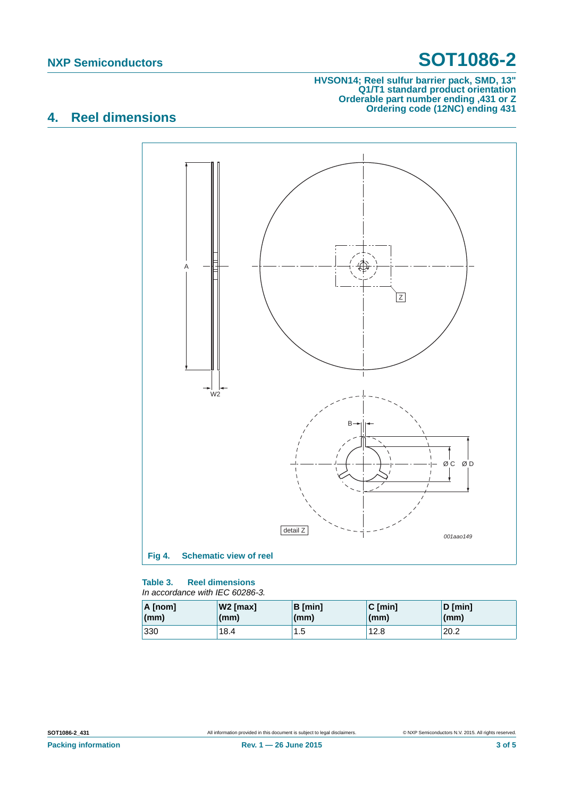#### **HVSON14; Reel sulfur barrier pack, SMD, 13" Q1/T1 standard product orientation Orderable part number ending ,431 or Z Ordering code (12NC) ending 431**

## **4. Reel dimensions**



#### **Table 3. Reel dimensions** *In accordance with IEC 60286-3.*

| A [nom] | W2 [max] | $B$ [min] | $C$ [min]    | $D$ [min] |
|---------|----------|-----------|--------------|-----------|
| (mm)    | (mm)     | (mm)      | $\mathsf{m}$ | (mm)      |
| 330     | 18.4     | 1.5       | 12.8         | 20.2      |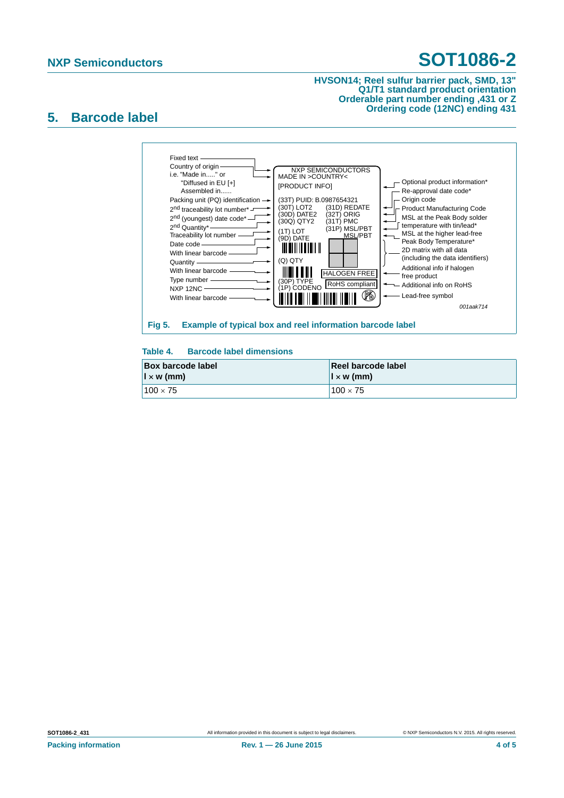#### **HVSON14; Reel sulfur barrier pack, SMD, 13" Q1/T1 standard product orientation Orderable part number ending ,431 or Z Ordering code (12NC) ending 431**

### **5. Barcode label**



### **Table 4. Barcode label dimensions**

| <b>Box barcode label</b> | Reel barcode label                   |
|--------------------------|--------------------------------------|
| $\vert x \rangle$ (mm)   | $\vert \vert \times \mathsf{w}$ (mm) |
| $100 \times 75$          | $100 \times 75$                      |